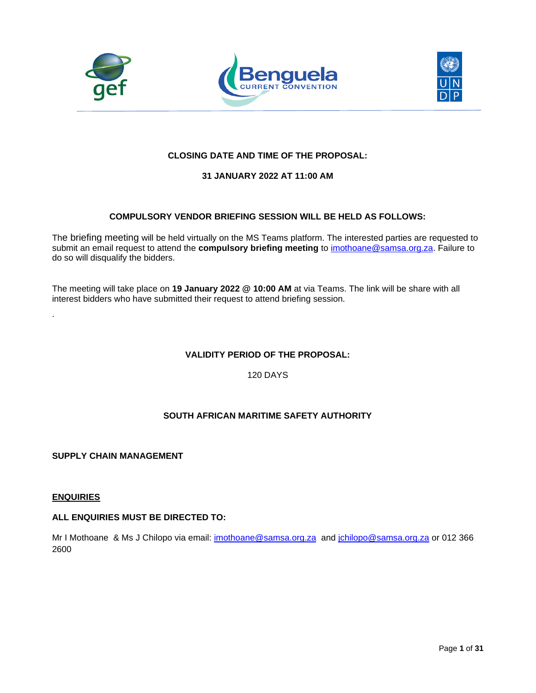





# **CLOSING DATE AND TIME OF THE PROPOSAL:**

# **31 JANUARY 2022 AT 11:00 AM**

# **COMPULSORY VENDOR BRIEFING SESSION WILL BE HELD AS FOLLOWS:**

The briefing meeting will be held virtually on the MS Teams platform. The interested parties are requested to submit an email request to attend the **compulsory briefing meeting** to [imothoane@samsa.org.za.](mailto:imothoane@samsa.org.za) Failure to do so will disqualify the bidders.

The meeting will take place on **19 January 2022 @ 10:00 AM** at via Teams. The link will be share with all interest bidders who have submitted their request to attend briefing session.

# **VALIDITY PERIOD OF THE PROPOSAL:**

120 DAYS

# **SOUTH AFRICAN MARITIME SAFETY AUTHORITY**

**SUPPLY CHAIN MANAGEMENT**

#### **ENQUIRIES**

.

#### **ALL ENQUIRIES MUST BE DIRECTED TO:**

Mr I Mothoane & Ms J Chilopo via email: *imothoane@samsa.org.za* and *jchilopo@samsa.org.za* or 012 366 2600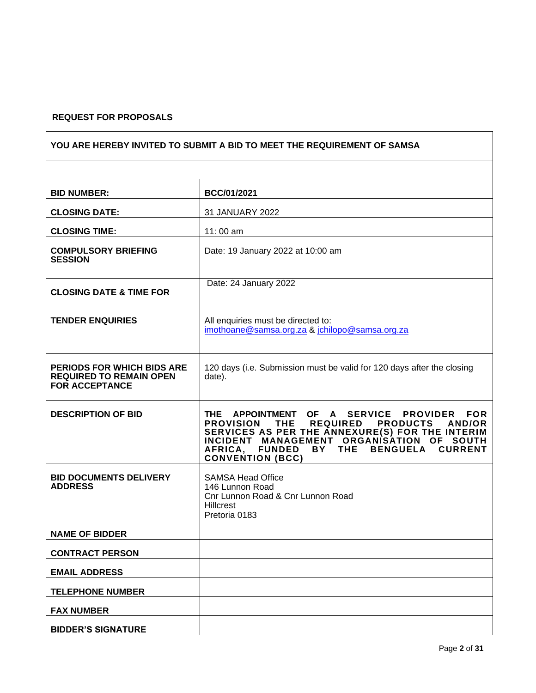# **REQUEST FOR PROPOSALS**

 $\mathbf{r}$ 

| YOU ARE HEREBY INVITED TO SUBMIT A BID TO MEET THE REQUIREMENT OF SAMSA                      |                                                                                                                                                                                                                                                                                                            |  |  |
|----------------------------------------------------------------------------------------------|------------------------------------------------------------------------------------------------------------------------------------------------------------------------------------------------------------------------------------------------------------------------------------------------------------|--|--|
|                                                                                              |                                                                                                                                                                                                                                                                                                            |  |  |
| <b>BID NUMBER:</b>                                                                           | <b>BCC/01/2021</b>                                                                                                                                                                                                                                                                                         |  |  |
| <b>CLOSING DATE:</b>                                                                         | 31 JANUARY 2022                                                                                                                                                                                                                                                                                            |  |  |
| <b>CLOSING TIME:</b>                                                                         | 11:00 am                                                                                                                                                                                                                                                                                                   |  |  |
| <b>COMPULSORY BRIEFING</b><br><b>SESSION</b>                                                 | Date: 19 January 2022 at 10:00 am                                                                                                                                                                                                                                                                          |  |  |
| <b>CLOSING DATE &amp; TIME FOR</b>                                                           | Date: 24 January 2022                                                                                                                                                                                                                                                                                      |  |  |
| <b>TENDER ENQUIRIES</b>                                                                      | All enquiries must be directed to:<br>imothoane@samsa.org.za & jchilopo@samsa.org.za                                                                                                                                                                                                                       |  |  |
| <b>PERIODS FOR WHICH BIDS ARE</b><br><b>REQUIRED TO REMAIN OPEN</b><br><b>FOR ACCEPTANCE</b> | 120 days (i.e. Submission must be valid for 120 days after the closing<br>date).                                                                                                                                                                                                                           |  |  |
| <b>DESCRIPTION OF BID</b>                                                                    | THE APPOINTMENT OF A SERVICE PROVIDER FOR<br><b>PROVISION</b><br><b>THE</b><br><b>REQUIRED</b><br><b>PRODUCTS</b><br>AND/OR<br>SERVICES AS PER THE ANNEXURE(S) FOR THE INTERIM<br>INCIDENT MANAGEMENT ORGANISATION OF SOUTH<br>AFRICA, FUNDED BY THE BENGUELA<br><b>CURRENT</b><br><b>CONVENTION (BCC)</b> |  |  |
| <b>BID DOCUMENTS DELIVERY</b><br><b>ADDRESS</b>                                              | <b>SAMSA Head Office</b><br>146 Lunnon Road<br>Cnr Lunnon Road & Cnr Lunnon Road<br><b>Hillcrest</b><br>Pretoria 0183                                                                                                                                                                                      |  |  |
| <b>NAME OF BIDDER</b>                                                                        |                                                                                                                                                                                                                                                                                                            |  |  |
| <b>CONTRACT PERSON</b>                                                                       |                                                                                                                                                                                                                                                                                                            |  |  |
| <b>EMAIL ADDRESS</b>                                                                         |                                                                                                                                                                                                                                                                                                            |  |  |
| <b>TELEPHONE NUMBER</b>                                                                      |                                                                                                                                                                                                                                                                                                            |  |  |
| <b>FAX NUMBER</b>                                                                            |                                                                                                                                                                                                                                                                                                            |  |  |
| <b>BIDDER'S SIGNATURE</b>                                                                    |                                                                                                                                                                                                                                                                                                            |  |  |

┑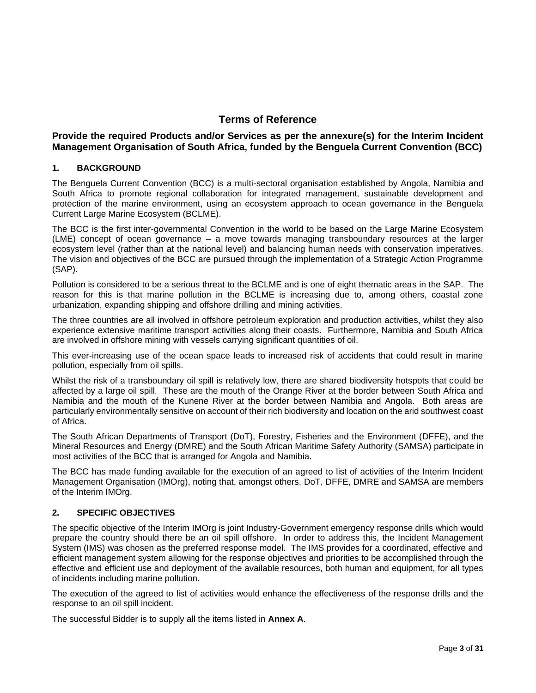# **Terms of Reference**

# **Provide the required Products and/or Services as per the annexure(s) for the Interim Incident Management Organisation of South Africa, funded by the Benguela Current Convention (BCC)**

# **1. BACKGROUND**

The Benguela Current Convention (BCC) is a multi-sectoral organisation established by Angola, Namibia and South Africa to promote regional collaboration for integrated management, sustainable development and protection of the marine environment, using an ecosystem approach to ocean governance in the Benguela Current Large Marine Ecosystem (BCLME).

The BCC is the first inter-governmental Convention in the world to be based on the Large Marine Ecosystem (LME) concept of ocean governance – a move towards managing transboundary resources at the larger ecosystem level (rather than at the national level) and balancing human needs with conservation imperatives. The vision and objectives of the BCC are pursued through the implementation of a Strategic Action Programme (SAP).

Pollution is considered to be a serious threat to the BCLME and is one of eight thematic areas in the SAP. The reason for this is that marine pollution in the BCLME is increasing due to, among others, coastal zone urbanization, expanding shipping and offshore drilling and mining activities.

The three countries are all involved in offshore petroleum exploration and production activities, whilst they also experience extensive maritime transport activities along their coasts. Furthermore, Namibia and South Africa are involved in offshore mining with vessels carrying significant quantities of oil.

This ever-increasing use of the ocean space leads to increased risk of accidents that could result in marine pollution, especially from oil spills.

Whilst the risk of a transboundary oil spill is relatively low, there are shared biodiversity hotspots that could be affected by a large oil spill. These are the mouth of the Orange River at the border between South Africa and Namibia and the mouth of the Kunene River at the border between Namibia and Angola. Both areas are particularly environmentally sensitive on account of their rich biodiversity and location on the arid southwest coast of Africa.

The South African Departments of Transport (DoT), Forestry, Fisheries and the Environment (DFFE), and the Mineral Resources and Energy (DMRE) and the South African Maritime Safety Authority (SAMSA) participate in most activities of the BCC that is arranged for Angola and Namibia.

The BCC has made funding available for the execution of an agreed to list of activities of the Interim Incident Management Organisation (IMOrg), noting that, amongst others, DoT, DFFE, DMRE and SAMSA are members of the Interim IMOrg.

#### **2. SPECIFIC OBJECTIVES**

The specific objective of the Interim IMOrg is joint Industry-Government emergency response drills which would prepare the country should there be an oil spill offshore. In order to address this, the Incident Management System (IMS) was chosen as the preferred response model. The IMS provides for a coordinated, effective and efficient management system allowing for the response objectives and priorities to be accomplished through the effective and efficient use and deployment of the available resources, both human and equipment, for all types of incidents including marine pollution.

The execution of the agreed to list of activities would enhance the effectiveness of the response drills and the response to an oil spill incident.

The successful Bidder is to supply all the items listed in **Annex A**.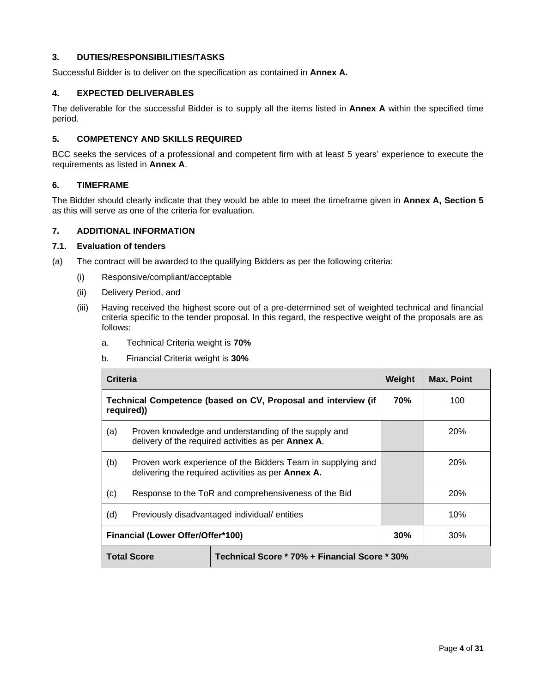# **3. DUTIES/RESPONSIBILITIES/TASKS**

Successful Bidder is to deliver on the specification as contained in **Annex A.**

## **4. EXPECTED DELIVERABLES**

The deliverable for the successful Bidder is to supply all the items listed in **Annex A** within the specified time period.

# **5. COMPETENCY AND SKILLS REQUIRED**

BCC seeks the services of a professional and competent firm with at least 5 years' experience to execute the requirements as listed in **Annex A**.

#### **6. TIMEFRAME**

The Bidder should clearly indicate that they would be able to meet the timeframe given in **Annex A, Section 5** as this will serve as one of the criteria for evaluation.

# **7. ADDITIONAL INFORMATION**

#### **7.1. Evaluation of tenders**

- (a) The contract will be awarded to the qualifying Bidders as per the following criteria:
	- (i) Responsive/compliant/acceptable
	- (ii) Delivery Period, and
	- (iii) Having received the highest score out of a pre-determined set of weighted technical and financial criteria specific to the tender proposal. In this regard, the respective weight of the proposals are as follows:
		- a. Technical Criteria weight is **70%**
		- b. Financial Criteria weight is **30%**

| Criteria                                                                    |                                                                                                                   | Weight | <b>Max. Point</b> |            |
|-----------------------------------------------------------------------------|-------------------------------------------------------------------------------------------------------------------|--------|-------------------|------------|
| Technical Competence (based on CV, Proposal and interview (if<br>required)) |                                                                                                                   |        | 70%               | 100        |
| (a)                                                                         | Proven knowledge and understanding of the supply and<br>delivery of the required activities as per Annex A.       |        |                   | 20%        |
| (b)                                                                         | Proven work experience of the Bidders Team in supplying and<br>delivering the required activities as per Annex A. |        |                   | 20%        |
| (c)                                                                         | Response to the ToR and comprehensiveness of the Bid                                                              |        |                   | <b>20%</b> |
| (d)                                                                         | Previously disadvantaged individual/entities                                                                      |        |                   | 10%        |
| Financial (Lower Offer/Offer*100)<br>$30\%$                                 |                                                                                                                   |        | 30%               |            |
|                                                                             | Technical Score * 70% + Financial Score * 30%<br><b>Total Score</b>                                               |        |                   |            |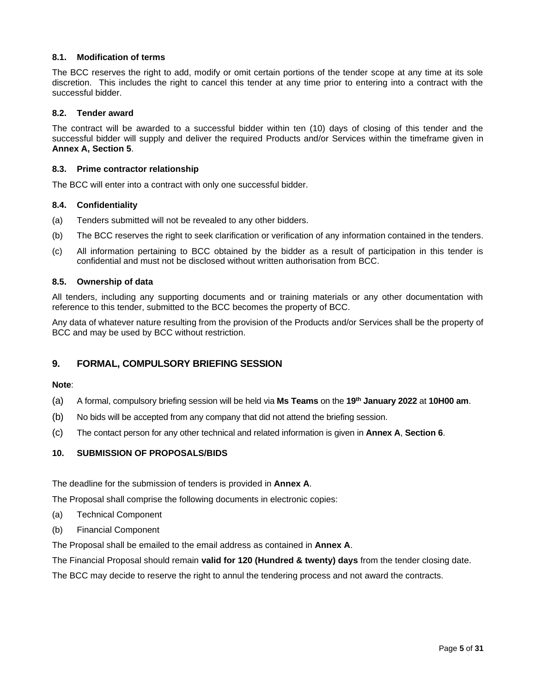## **8.1. Modification of terms**

The BCC reserves the right to add, modify or omit certain portions of the tender scope at any time at its sole discretion. This includes the right to cancel this tender at any time prior to entering into a contract with the successful bidder.

#### **8.2. Tender award**

The contract will be awarded to a successful bidder within ten (10) days of closing of this tender and the successful bidder will supply and deliver the required Products and/or Services within the timeframe given in **Annex A, Section 5**.

#### **8.3. Prime contractor relationship**

The BCC will enter into a contract with only one successful bidder.

#### **8.4. Confidentiality**

- (a) Tenders submitted will not be revealed to any other bidders.
- (b) The BCC reserves the right to seek clarification or verification of any information contained in the tenders.
- (c) All information pertaining to BCC obtained by the bidder as a result of participation in this tender is confidential and must not be disclosed without written authorisation from BCC.

#### **8.5. Ownership of data**

All tenders, including any supporting documents and or training materials or any other documentation with reference to this tender, submitted to the BCC becomes the property of BCC.

Any data of whatever nature resulting from the provision of the Products and/or Services shall be the property of BCC and may be used by BCC without restriction.

# **9. FORMAL, COMPULSORY BRIEFING SESSION**

#### **Note**:

- (a) A formal, compulsory briefing session will be held via **Ms Teams** on the **19th January 2022** at **10H00 am**.
- (b) No bids will be accepted from any company that did not attend the briefing session.
- (c) The contact person for any other technical and related information is given in **Annex A**, **Section 6**.

# **10. SUBMISSION OF PROPOSALS/BIDS**

The deadline for the submission of tenders is provided in **Annex A**.

The Proposal shall comprise the following documents in electronic copies:

- (a) Technical Component
- (b) Financial Component

The Proposal shall be emailed to the email address as contained in **Annex A**.

The Financial Proposal should remain **valid for 120 (Hundred & twenty) days** from the tender closing date.

The BCC may decide to reserve the right to annul the tendering process and not award the contracts.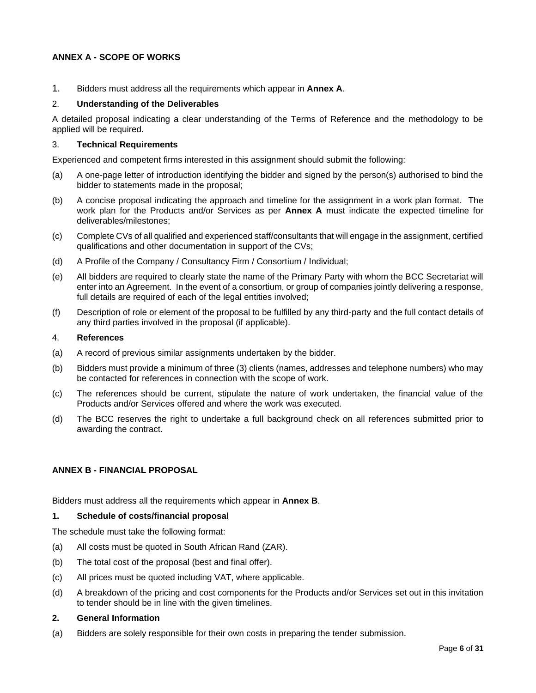# **ANNEX A - SCOPE OF WORKS**

1. Bidders must address all the requirements which appear in **Annex A**.

#### 2. **Understanding of the Deliverables**

A detailed proposal indicating a clear understanding of the Terms of Reference and the methodology to be applied will be required.

#### 3. **Technical Requirements**

Experienced and competent firms interested in this assignment should submit the following:

- (a) A one-page letter of introduction identifying the bidder and signed by the person(s) authorised to bind the bidder to statements made in the proposal;
- (b) A concise proposal indicating the approach and timeline for the assignment in a work plan format. The work plan for the Products and/or Services as per **Annex A** must indicate the expected timeline for deliverables/milestones;
- (c) Complete CVs of all qualified and experienced staff/consultants that will engage in the assignment, certified qualifications and other documentation in support of the CVs;
- (d) A Profile of the Company / Consultancy Firm / Consortium / Individual;
- (e) All bidders are required to clearly state the name of the Primary Party with whom the BCC Secretariat will enter into an Agreement. In the event of a consortium, or group of companies jointly delivering a response, full details are required of each of the legal entities involved;
- (f) Description of role or element of the proposal to be fulfilled by any third-party and the full contact details of any third parties involved in the proposal (if applicable).

#### 4. **References**

- (a) A record of previous similar assignments undertaken by the bidder.
- (b) Bidders must provide a minimum of three (3) clients (names, addresses and telephone numbers) who may be contacted for references in connection with the scope of work.
- (c) The references should be current, stipulate the nature of work undertaken, the financial value of the Products and/or Services offered and where the work was executed.
- (d) The BCC reserves the right to undertake a full background check on all references submitted prior to awarding the contract.

#### **ANNEX B - FINANCIAL PROPOSAL**

Bidders must address all the requirements which appear in **Annex B**.

#### **1. Schedule of costs/financial proposal**

The schedule must take the following format:

- (a) All costs must be quoted in South African Rand (ZAR).
- (b) The total cost of the proposal (best and final offer).
- (c) All prices must be quoted including VAT, where applicable.
- (d) A breakdown of the pricing and cost components for the Products and/or Services set out in this invitation to tender should be in line with the given timelines.

#### **2. General Information**

(a) Bidders are solely responsible for their own costs in preparing the tender submission.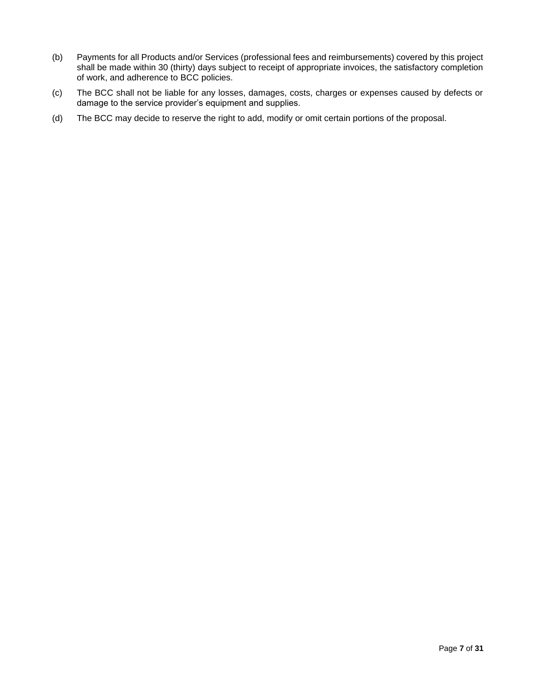- (b) Payments for all Products and/or Services (professional fees and reimbursements) covered by this project shall be made within 30 (thirty) days subject to receipt of appropriate invoices, the satisfactory completion of work, and adherence to BCC policies.
- (c) The BCC shall not be liable for any losses, damages, costs, charges or expenses caused by defects or damage to the service provider's equipment and supplies.
- (d) The BCC may decide to reserve the right to add, modify or omit certain portions of the proposal.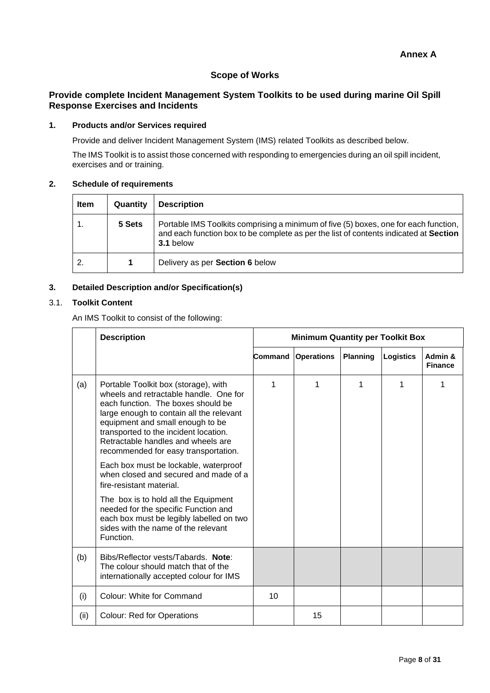# **Scope of Works**

# **Provide complete Incident Management System Toolkits to be used during marine Oil Spill Response Exercises and Incidents**

## **1. Products and/or Services required**

Provide and deliver Incident Management System (IMS) related Toolkits as described below.

The IMS Toolkit is to assist those concerned with responding to emergencies during an oil spill incident, exercises and or training.

# **2. Schedule of requirements**

| <b>Item</b> | Quantity | <b>Description</b>                                                                                                                                                                         |
|-------------|----------|--------------------------------------------------------------------------------------------------------------------------------------------------------------------------------------------|
|             | 5 Sets   | Portable IMS Toolkits comprising a minimum of five (5) boxes, one for each function,<br>and each function box to be complete as per the list of contents indicated at Section<br>3.1 below |
| 2.          |          | Delivery as per Section 6 below                                                                                                                                                            |

# **3. Detailed Description and/or Specification(s)**

## 3.1. **Toolkit Content**

An IMS Toolkit to consist of the following:

|      | <b>Description</b>                                                                                                                                                                                                                                                                                                                                                                                                                                                                                                                                                                                           | <b>Minimum Quantity per Toolkit Box</b> |                   |                 |           |                           |
|------|--------------------------------------------------------------------------------------------------------------------------------------------------------------------------------------------------------------------------------------------------------------------------------------------------------------------------------------------------------------------------------------------------------------------------------------------------------------------------------------------------------------------------------------------------------------------------------------------------------------|-----------------------------------------|-------------------|-----------------|-----------|---------------------------|
|      |                                                                                                                                                                                                                                                                                                                                                                                                                                                                                                                                                                                                              | Command                                 | <b>Operations</b> | <b>Planning</b> | Logistics | Admin &<br><b>Finance</b> |
| (a)  | Portable Toolkit box (storage), with<br>wheels and retractable handle. One for<br>each function. The boxes should be<br>large enough to contain all the relevant<br>equipment and small enough to be<br>transported to the incident location.<br>Retractable handles and wheels are<br>recommended for easy transportation.<br>Each box must be lockable, waterproof<br>when closed and secured and made of a<br>fire-resistant material.<br>The box is to hold all the Equipment<br>needed for the specific Function and<br>each box must be legibly labelled on two<br>sides with the name of the relevant | 1                                       | 1                 | 1               | 1         |                           |
|      | Function.                                                                                                                                                                                                                                                                                                                                                                                                                                                                                                                                                                                                    |                                         |                   |                 |           |                           |
| (b)  | Bibs/Reflector vests/Tabards. Note:<br>The colour should match that of the<br>internationally accepted colour for IMS                                                                                                                                                                                                                                                                                                                                                                                                                                                                                        |                                         |                   |                 |           |                           |
| (i)  | Colour: White for Command                                                                                                                                                                                                                                                                                                                                                                                                                                                                                                                                                                                    | 10                                      |                   |                 |           |                           |
| (ii) | <b>Colour: Red for Operations</b>                                                                                                                                                                                                                                                                                                                                                                                                                                                                                                                                                                            |                                         | 15                |                 |           |                           |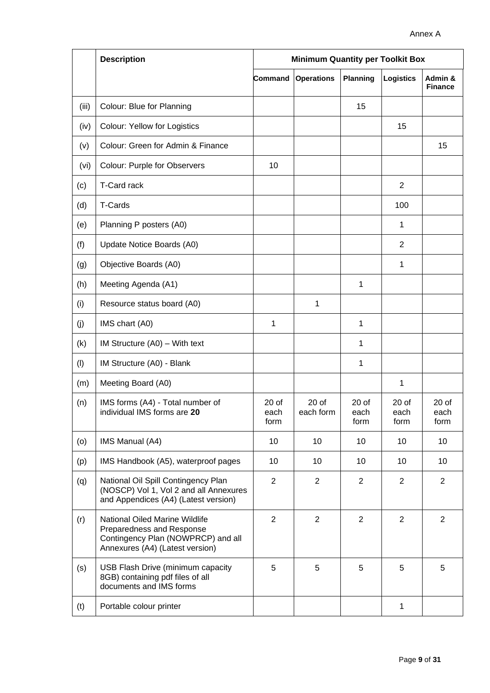|       | <b>Description</b>                                                                                                                   | <b>Minimum Quantity per Toolkit Box</b> |                              |                                 |                                 |                                 |
|-------|--------------------------------------------------------------------------------------------------------------------------------------|-----------------------------------------|------------------------------|---------------------------------|---------------------------------|---------------------------------|
|       |                                                                                                                                      | Command                                 | <b>Operations</b>            | <b>Planning</b>                 | <b>Logistics</b>                | Admin &<br><b>Finance</b>       |
| (iii) | Colour: Blue for Planning                                                                                                            |                                         |                              | 15                              |                                 |                                 |
| (iv)  | <b>Colour: Yellow for Logistics</b>                                                                                                  |                                         |                              |                                 | 15                              |                                 |
| (v)   | Colour: Green for Admin & Finance                                                                                                    |                                         |                              |                                 |                                 | 15                              |
| (vi)  | Colour: Purple for Observers                                                                                                         | 10                                      |                              |                                 |                                 |                                 |
| (c)   | T-Card rack                                                                                                                          |                                         |                              |                                 | $\overline{2}$                  |                                 |
| (d)   | T-Cards                                                                                                                              |                                         |                              |                                 | 100                             |                                 |
| (e)   | Planning P posters (A0)                                                                                                              |                                         |                              |                                 | 1                               |                                 |
| (f)   | Update Notice Boards (A0)                                                                                                            |                                         |                              |                                 | 2                               |                                 |
| (g)   | Objective Boards (A0)                                                                                                                |                                         |                              |                                 | 1                               |                                 |
| (h)   | Meeting Agenda (A1)                                                                                                                  |                                         |                              | 1                               |                                 |                                 |
| (i)   | Resource status board (A0)                                                                                                           |                                         | 1                            |                                 |                                 |                                 |
| (j)   | IMS chart (A0)                                                                                                                       | 1                                       |                              | 1                               |                                 |                                 |
| (k)   | IM Structure $(A0) -$ With text                                                                                                      |                                         |                              | 1                               |                                 |                                 |
| (1)   | IM Structure (A0) - Blank                                                                                                            |                                         |                              | 1                               |                                 |                                 |
| (m)   | Meeting Board (A0)                                                                                                                   |                                         |                              |                                 | 1                               |                                 |
| (n)   | IMS forms (A4) - Total number of<br>individual IMS forms are 20                                                                      | 20 <sub>o</sub><br>each<br>form         | 20 <sub>o</sub><br>each form | 20 <sub>o</sub><br>each<br>form | 20 <sub>o</sub><br>each<br>form | 20 <sub>o</sub><br>each<br>form |
| (0)   | IMS Manual (A4)                                                                                                                      | 10                                      | 10                           | 10                              | 10                              | 10                              |
| (p)   | IMS Handbook (A5), waterproof pages                                                                                                  | 10                                      | 10                           | 10                              | 10                              | 10                              |
| (q)   | National Oil Spill Contingency Plan<br>(NOSCP) Vol 1, Vol 2 and all Annexures<br>and Appendices (A4) (Latest version)                | $\overline{2}$                          | $\overline{2}$               | $\overline{2}$                  | $\overline{2}$                  | $\overline{2}$                  |
| (r)   | National Oiled Marine Wildlife<br>Preparedness and Response<br>Contingency Plan (NOWPRCP) and all<br>Annexures (A4) (Latest version) | $\overline{2}$                          | $\overline{2}$               | $\overline{2}$                  | $\overline{2}$                  | 2                               |
| (s)   | USB Flash Drive (minimum capacity<br>8GB) containing pdf files of all<br>documents and IMS forms                                     | 5                                       | 5                            | 5                               | 5                               | 5                               |
| (t)   | Portable colour printer                                                                                                              |                                         |                              |                                 | $\mathbf{1}$                    |                                 |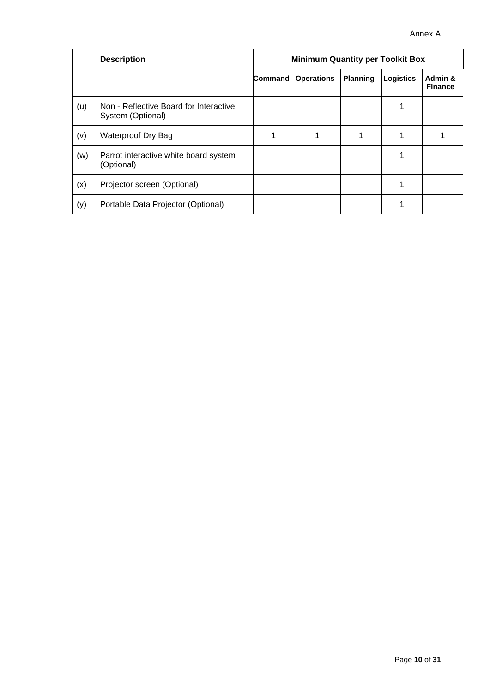|     | <b>Description</b>                                          | <b>Minimum Quantity per Toolkit Box</b> |                   |                 |                  |                           |
|-----|-------------------------------------------------------------|-----------------------------------------|-------------------|-----------------|------------------|---------------------------|
|     |                                                             | Command                                 | <b>Operations</b> | <b>Planning</b> | <b>Logistics</b> | Admin &<br><b>Finance</b> |
| (u) | Non - Reflective Board for Interactive<br>System (Optional) |                                         |                   |                 |                  |                           |
| (v) | Waterproof Dry Bag                                          |                                         |                   |                 |                  |                           |
| (w) | Parrot interactive white board system<br>(Optional)         |                                         |                   |                 |                  |                           |
| (x) | Projector screen (Optional)                                 |                                         |                   |                 |                  |                           |
| (y) | Portable Data Projector (Optional)                          |                                         |                   |                 |                  |                           |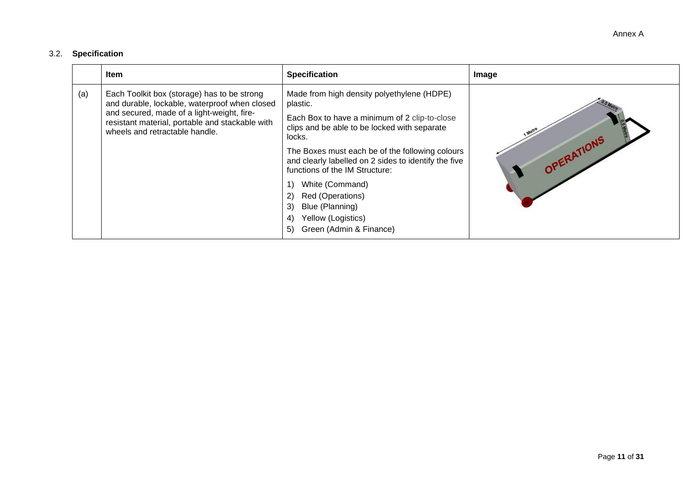# 3.2. **Specification**

|     | <b>Item</b>                                                                                                                     | <b>Specification</b>                                                                                                                           | Image      |
|-----|---------------------------------------------------------------------------------------------------------------------------------|------------------------------------------------------------------------------------------------------------------------------------------------|------------|
| (a) | Each Toolkit box (storage) has to be strong<br>and durable, lockable, waterproof when closed                                    | Made from high density polyethylene (HDPE)<br>plastic.                                                                                         |            |
|     | and secured, made of a light-weight, fire-<br>resistant material, portable and stackable with<br>wheels and retractable handle. | Each Box to have a minimum of 2 clip-to-close<br>clips and be able to be locked with separate<br>locks.                                        |            |
|     |                                                                                                                                 | The Boxes must each be of the following colours<br>and clearly labelled on 2 sides to identify the five<br>functions of the IM Structure:      | OPERATIONS |
|     |                                                                                                                                 | White (Command)<br>Red (Operations)<br>2)<br>Blue (Planning)<br>3)<br>Yellow (Logistics)<br>$\left( 4\right)$<br>Green (Admin & Finance)<br>5) |            |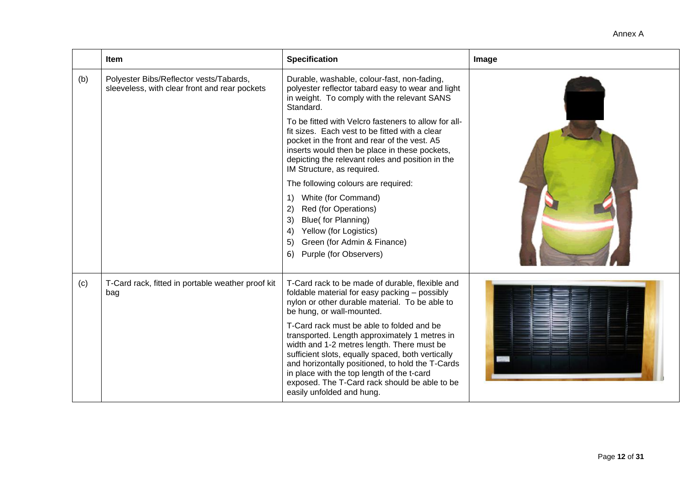**Item Integral** *Integral Specification* **Image** (b) Polyester Bibs/Reflector vests/Tabards, sleeveless, with clear front and rear pockets Durable, washable, colour-fast, non-fading, polyester reflector tabard easy to wear and light in weight. To comply with the relevant SANS Standard. To be fitted with Velcro fasteners to allow for allfit sizes. Each vest to be fitted with a clear pocket in the front and rear of the vest. A5 inserts would then be place in these pockets, depicting the relevant roles and position in the IM Structure, as required. The following colours are required: 1) White (for Command) 2) Red (for Operations) 3) Blue( for Planning) 4) Yellow (for Logistics) 5) Green (for Admin & Finance) 6) Purple (for Observers)  $(c)$  T-Card rack, fitted in portable weather proof kit bag T-Card rack to be made of durable, flexible and foldable material for easy packing – possibly nylon or other durable material. To be able to be hung, or wall-mounted. T-Card rack must be able to folded and be transported. Length approximately 1 metres in width and 1-2 metres length. There must be sufficient slots, equally spaced, both vertically and horizontally positioned, to hold the T-Cards in place with the top length of the t-card exposed. The T-Card rack should be able to be easily unfolded and hung.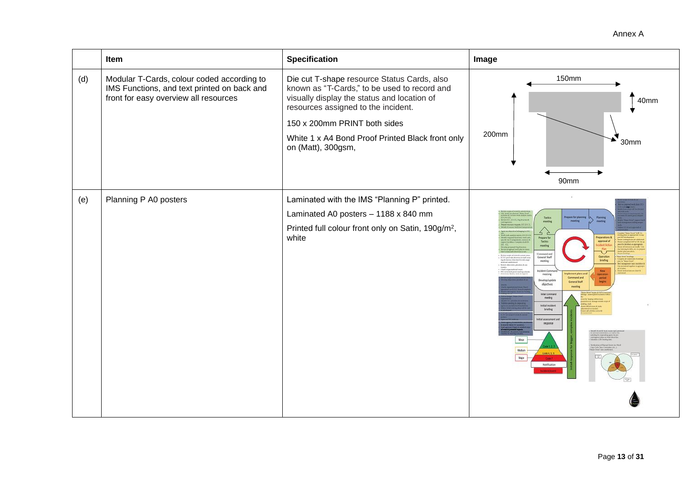|     | Item                                                                                                                               | <b>Specification</b>                                                                                                                                                                                                                                                                        | Image                                                                                                                                                                                                                                                                                                                                                                                                                                                                                                          |
|-----|------------------------------------------------------------------------------------------------------------------------------------|---------------------------------------------------------------------------------------------------------------------------------------------------------------------------------------------------------------------------------------------------------------------------------------------|----------------------------------------------------------------------------------------------------------------------------------------------------------------------------------------------------------------------------------------------------------------------------------------------------------------------------------------------------------------------------------------------------------------------------------------------------------------------------------------------------------------|
| (d) | Modular T-Cards, colour coded according to<br>IMS Functions, and text printed on back and<br>front for easy overview all resources | Die cut T-shape resource Status Cards, also<br>known as "T-Cards," to be used to record and<br>visually display the status and location of<br>resources assigned to the incident.<br>150 x 200mm PRINT both sides<br>White 1 x A4 Bond Proof Printed Black front only<br>on (Matt), 300gsm, | <b>150mm</b><br>40mm<br>200mm<br>30mm<br>90mm                                                                                                                                                                                                                                                                                                                                                                                                                                                                  |
| (e) | Planning P A0 posters                                                                                                              | Laminated with the IMS "Planning P" printed.<br>Laminated A0 posters - 1188 x 840 mm<br>Printed full colour front only on Satin, 190g/m <sup>2</sup> ,<br>white                                                                                                                             | sere for plan<br>Tactics<br><b>Planning</b><br>meeting<br>4<br><b>Prepare for</b><br>reparations<br>Tactics<br>approval o<br>reasing<br>Command and<br>Operation<br>General Staff<br>hielas<br>recting.<br>Incident Comina<br>relement plans and<br>meeting:<br>Command and<br>Develop/update<br><b>General Staff</b><br>objectives<br>Initial Command<br>meeting<br>Initial incident<br>briefing<br>kial assessment and<br><b>Jesponse</b><br>Minor<br>Medium<br>Code 4, 5, 6<br><b>Vajor</b><br>Notification |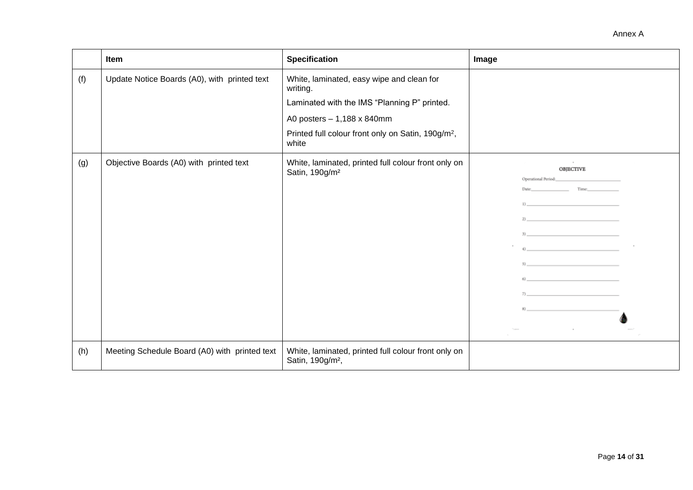|     | Item                                          | <b>Specification</b>                                                                | Image                                                                                                                                                                                                                                                                                                                                                                                                                                                                    |
|-----|-----------------------------------------------|-------------------------------------------------------------------------------------|--------------------------------------------------------------------------------------------------------------------------------------------------------------------------------------------------------------------------------------------------------------------------------------------------------------------------------------------------------------------------------------------------------------------------------------------------------------------------|
| (f) | Update Notice Boards (A0), with printed text  | White, laminated, easy wipe and clean for<br>writing.                               |                                                                                                                                                                                                                                                                                                                                                                                                                                                                          |
|     |                                               | Laminated with the IMS "Planning P" printed.                                        |                                                                                                                                                                                                                                                                                                                                                                                                                                                                          |
|     |                                               | A0 posters - 1,188 x 840mm                                                          |                                                                                                                                                                                                                                                                                                                                                                                                                                                                          |
|     |                                               | Printed full colour front only on Satin, 190g/m <sup>2</sup> ,<br>white             |                                                                                                                                                                                                                                                                                                                                                                                                                                                                          |
| (g) | Objective Boards (A0) with printed text       | White, laminated, printed full colour front only on<br>Satin, 190g/m <sup>2</sup>   | <b>OBJECTIVE</b><br>Operational Period: The Contract of the Contract of the Contract of the Contract of the Contract of the Contract of the Contract of the Contract of the Contract of the Contract of the Contract of the Contract of the Contra<br>Date: Time:<br>1) and the contract of the contract of the contract of<br>$\ket{2}$<br>$\vert 3 \rangle$<br>$\left\langle 4 \right\rangle$<br>$\mathcal{S}\left\langle \mathcal{S}\right\rangle$<br>(6)<br>7)<br>83 |
| (h) | Meeting Schedule Board (A0) with printed text | White, laminated, printed full colour front only on<br>Satin, 190g/m <sup>2</sup> , |                                                                                                                                                                                                                                                                                                                                                                                                                                                                          |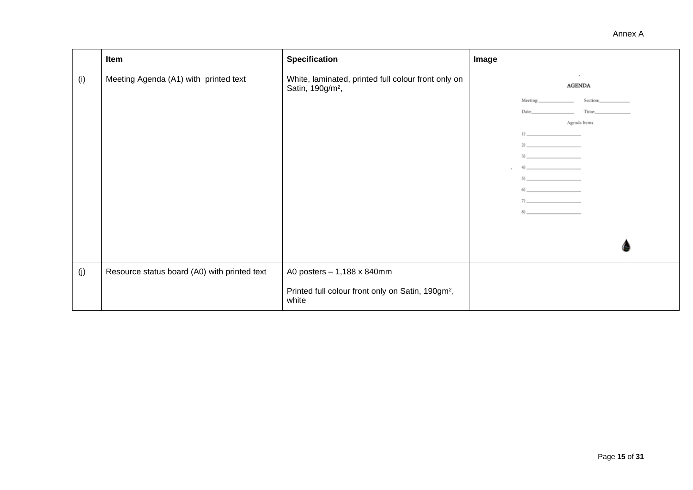|     | Item                                         | <b>Specification</b>                                                                                 | Image                                                                                                                                                                                                                                                                                                                                                                                                                                                                                                                                                                                                                                                                                                                                                                                                                                                                                                                                                                                                                                                                                                                                                                                                                                                                        |
|-----|----------------------------------------------|------------------------------------------------------------------------------------------------------|------------------------------------------------------------------------------------------------------------------------------------------------------------------------------------------------------------------------------------------------------------------------------------------------------------------------------------------------------------------------------------------------------------------------------------------------------------------------------------------------------------------------------------------------------------------------------------------------------------------------------------------------------------------------------------------------------------------------------------------------------------------------------------------------------------------------------------------------------------------------------------------------------------------------------------------------------------------------------------------------------------------------------------------------------------------------------------------------------------------------------------------------------------------------------------------------------------------------------------------------------------------------------|
| (i) | Meeting Agenda (A1) with printed text        | White, laminated, printed full colour front only on<br>Satin, 190g/m <sup>2</sup> ,                  | $\sim$<br><b>AGENDA</b><br>Section: The Section of the Section of the Section of the Section of the Section of the Section of the Section of the Section of the Section of the Section of the Section of the Section of the Section of the Section of the<br>Meeting: The Meeting:<br>Time: Times<br>Date: The Contract of the Contract of the Contract of the Contract of the Contract of the Contract of the Contract of the Contract of the Contract of the Contract of the Contract of the Contract of the Contract of the Cont<br>Agenda Items<br>$1) \underline{\hspace{2cm}}$<br>$2)$ and $2)$ and $2)$ and $2)$<br>$3)$ and $2$ and $2$ and $2$ and $2$ and $2$ and $2$ and $2$ and $2$ and $2$ and $2$ and $2$ and $2$ and $2$ and $2$ and $2$ and $2$ and $2$ and $2$ and $2$ and $2$ and $2$ and $2$ and $2$ and $2$ and $2$ and $2$ and $2$<br>(4)<br>$5)$<br>$\begin{picture}(60,6) \put(0,0){\vector(0,1){100}} \put(15,0){\vector(0,1){100}} \put(15,0){\vector(0,1){100}} \put(15,0){\vector(0,1){100}} \put(15,0){\vector(0,1){100}} \put(15,0){\vector(0,1){100}} \put(15,0){\vector(0,1){100}} \put(15,0){\vector(0,1){100}} \put(15,0){\vector(0,1){100}} \put(15,0){\vector(0,1){100}} \put(15,0){\vector(0,1){100}} \put$<br>$7)$ and $       -$<br>8) |
| (j) | Resource status board (A0) with printed text | A0 posters - 1,188 x 840mm<br>Printed full colour front only on Satin, 190gm <sup>2</sup> ,<br>white |                                                                                                                                                                                                                                                                                                                                                                                                                                                                                                                                                                                                                                                                                                                                                                                                                                                                                                                                                                                                                                                                                                                                                                                                                                                                              |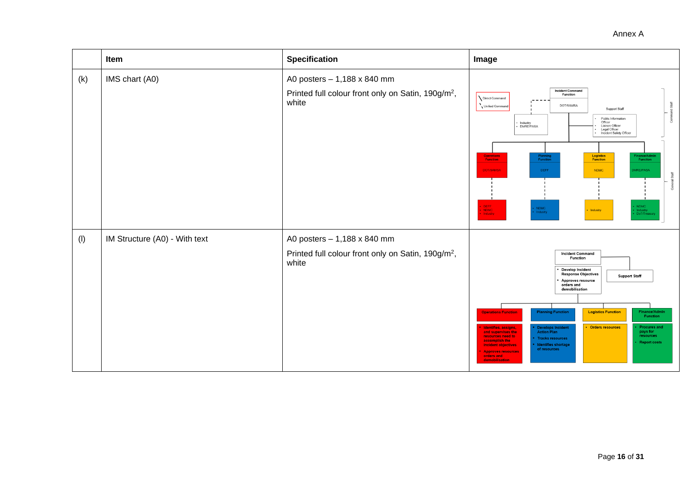|     | Item                          | <b>Specification</b>                                                                                   | Image                                                                                                                                                                                                                                                                                                                                                                                                                                                                                                                                                                                                                                                                                        |
|-----|-------------------------------|--------------------------------------------------------------------------------------------------------|----------------------------------------------------------------------------------------------------------------------------------------------------------------------------------------------------------------------------------------------------------------------------------------------------------------------------------------------------------------------------------------------------------------------------------------------------------------------------------------------------------------------------------------------------------------------------------------------------------------------------------------------------------------------------------------------|
| (k) | IMS chart (A0)                | A0 posters - 1,188 x 840 mm<br>Printed full colour front only on Satin, 190g/m <sup>2</sup> ,<br>white | <b>Incident Command</b><br>Function<br>Direct Command<br>DOT/SAMSA<br>Unified Command<br>Support Staff<br>Public Information<br>Officer<br>· Industry<br>· DMRE/PASA<br>Liaison Officer<br>Legal Officer<br>Incident Safety Officer<br>Logistics<br><b>Operations</b><br>Finance/Admir<br>Function<br><b>Planning</b><br>Function<br><b>Function</b><br><b>Function</b><br><b>IMRE/PASA</b><br>DOT/SAMSA<br>DEFF<br><b>NDMC</b><br>ral Staff<br>DEFF<br>NDMC<br>Industry<br>$\blacksquare$ NDMC<br>NDMC<br>Industry<br>Industry<br>Mindustry<br>DoT/Treasury                                                                                                                                 |
| (1) | IM Structure (A0) - With text | A0 posters - 1,188 x 840 mm<br>Printed full colour front only on Satin, 190g/m <sup>2</sup> ,<br>white | <b>Incident Command</b><br>Function<br><b>Develop Incident</b><br><b>Response Objectives</b><br><b>Support Staff</b><br>Approves resource<br>orders and<br>demobilisation<br>Finance/Admin<br><b>Logistics Function</b><br><b>Planning Function</b><br><b>Operations Function</b><br>Function<br><b>Orders resources</b><br><b>Develops Incident</b><br><b>Procures and</b><br>Identifies, assigns,<br><b>Action Plan</b><br>pays for<br>and supervises the<br>resources<br>resources need to<br><b>Tracks resources</b><br>accomplish the<br><b>Report costs</b><br>Identifies shortage<br>incident objectives<br>of resources<br><b>Approves resources</b><br>orders and<br>demobilisation |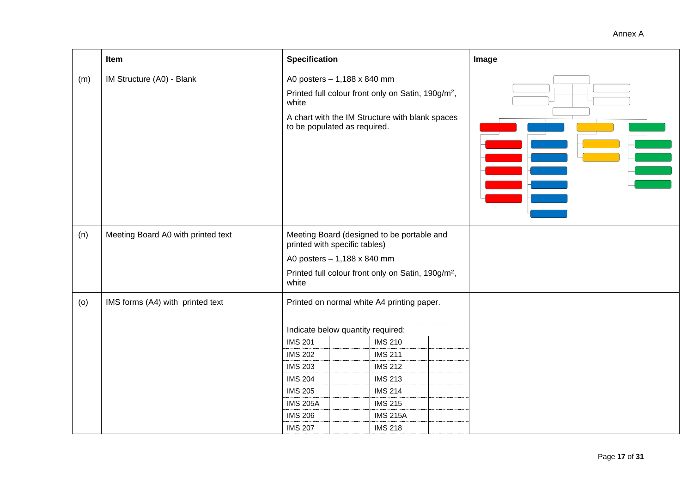|     | Item                               | <b>Specification</b>                                                                                                                                                                                                             |                                                                                                                                               | Image |
|-----|------------------------------------|----------------------------------------------------------------------------------------------------------------------------------------------------------------------------------------------------------------------------------|-----------------------------------------------------------------------------------------------------------------------------------------------|-------|
| (m) | IM Structure (A0) - Blank          | A0 posters - 1,188 x 840 mm<br>Printed full colour front only on Satin, 190g/m <sup>2</sup> ,<br>white<br>A chart with the IM Structure with blank spaces<br>to be populated as required.                                        |                                                                                                                                               |       |
| (n) | Meeting Board A0 with printed text | Meeting Board (designed to be portable and<br>printed with specific tables)<br>A0 posters - 1,188 x 840 mm<br>Printed full colour front only on Satin, 190g/m <sup>2</sup> ,<br>white                                            |                                                                                                                                               |       |
| (0) | IMS forms (A4) with printed text   | Printed on normal white A4 printing paper.<br>Indicate below quantity required:<br><b>IMS 201</b><br><b>IMS 202</b><br><b>IMS 203</b><br><b>IMS 204</b><br><b>IMS 205</b><br><b>IMS 205A</b><br><b>IMS 206</b><br><b>IMS 207</b> | <b>IMS 210</b><br><b>IMS 211</b><br><b>IMS 212</b><br><b>IMS 213</b><br><b>IMS 214</b><br><b>IMS 215</b><br><b>IMS 215A</b><br><b>IMS 218</b> |       |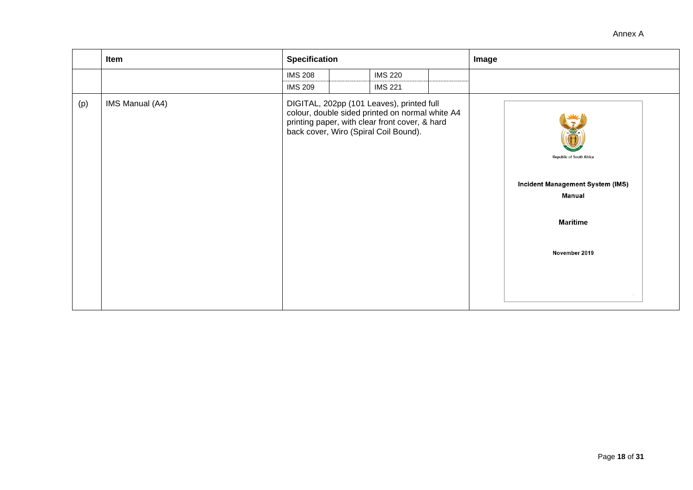|     | Item            | <b>Specification</b> |  |                                                                                                                                                                                                           | Image                                                                                                             |  |  |
|-----|-----------------|----------------------|--|-----------------------------------------------------------------------------------------------------------------------------------------------------------------------------------------------------------|-------------------------------------------------------------------------------------------------------------------|--|--|
|     |                 | <b>IMS 208</b>       |  | <b>IMS 220</b>                                                                                                                                                                                            |                                                                                                                   |  |  |
| (p) | IMS Manual (A4) | <b>IMS 209</b>       |  | <b>IMS 221</b><br>DIGITAL, 202pp (101 Leaves), printed full<br>colour, double sided printed on normal white A4<br>printing paper, with clear front cover, & hard<br>back cover, Wiro (Spiral Coil Bound). | <b>Republic of South Africa</b><br>Incident Management System (IMS)<br>Manual<br><b>Maritime</b><br>November 2019 |  |  |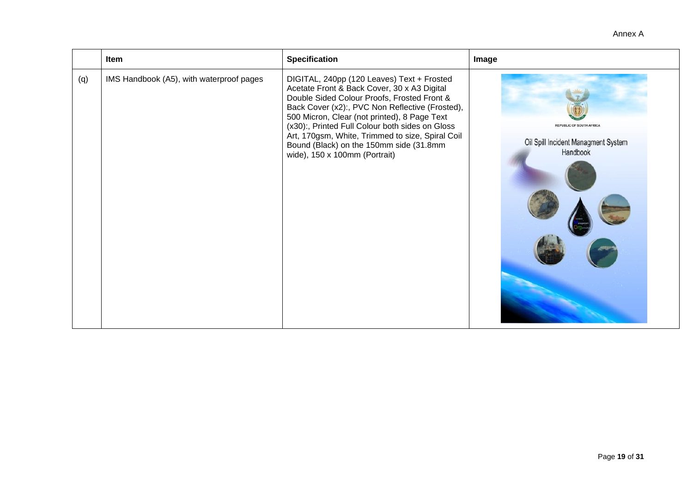|     | Item                                     | <b>Specification</b>                                                                                                                                                                                                                                                                                                                                                                                                           | Image                                                                              |
|-----|------------------------------------------|--------------------------------------------------------------------------------------------------------------------------------------------------------------------------------------------------------------------------------------------------------------------------------------------------------------------------------------------------------------------------------------------------------------------------------|------------------------------------------------------------------------------------|
| (q) | IMS Handbook (A5), with waterproof pages | DIGITAL, 240pp (120 Leaves) Text + Frosted<br>Acetate Front & Back Cover, 30 x A3 Digital<br>Double Sided Colour Proofs, Frosted Front &<br>Back Cover (x2):, PVC Non Reflective (Frosted),<br>500 Micron, Clear (not printed), 8 Page Text<br>(x30):, Printed Full Colour both sides on Gloss<br>Art, 170gsm, White, Trimmed to size, Spiral Coil<br>Bound (Black) on the 150mm side (31.8mm<br>wide), 150 x 100mm (Portrait) | <b>REPUBLIC OF SOUTH AFRICA</b><br>Oil Spill Incident Managment System<br>Handbook |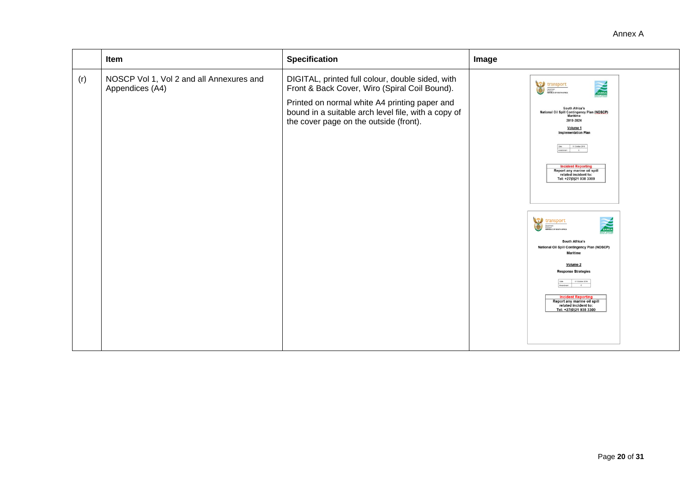| <b>Specification</b><br>Item<br>Image                                                                                                                                                                                                                                                                                                                                                                                                                                                                                                                                                                                                                                                                                                                                                                                                                                                                                                             |  |
|---------------------------------------------------------------------------------------------------------------------------------------------------------------------------------------------------------------------------------------------------------------------------------------------------------------------------------------------------------------------------------------------------------------------------------------------------------------------------------------------------------------------------------------------------------------------------------------------------------------------------------------------------------------------------------------------------------------------------------------------------------------------------------------------------------------------------------------------------------------------------------------------------------------------------------------------------|--|
| NOSCP Vol 1, Vol 2 and all Annexures and<br>DIGITAL, printed full colour, double sided, with<br>(r)<br>transport<br>SAMSA<br>Appendices (A4)<br>Front & Back Cover, Wiro (Spiral Coil Bound).<br>Printed on normal white A4 printing paper and<br>South Africa's<br>bound in a suitable arch level file, with a copy of<br>National Oil Spill Contingency Plan (NOSCP)<br>Maritime<br>the cover page on the outside (front).<br>2019-2024<br>Volume 1<br><b>Implementation Plan</b><br>Date 01 October 2019<br>Amendment 0<br><b>Incident Reporting</b><br>Report any marine oil spill<br>related incident to:<br>Tel: +27(0)21 938 3300<br>transport<br>SAMSA<br>South Africa's<br>National Oil Spill Contingency Plan (NOSCP)<br><b>Maritime</b><br>Volume 2<br><b>Response Strategies</b><br>Date 01 October 2019<br>Amendment 0<br><b>Incident Reporting</b><br>Report any marine oil spill<br>related incident to:<br>Tel: +27(0)21 938 3300 |  |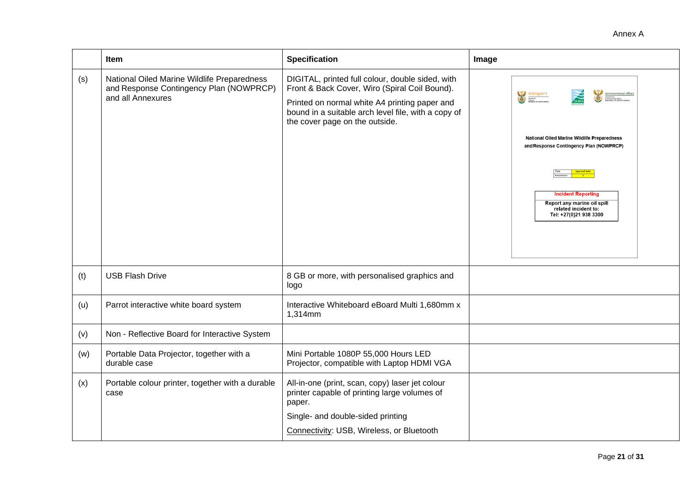|     | <b>Item</b>                                                                                                 | <b>Specification</b>                                                                                                                                                                                                                        | Image                                                                                                                                                                                                             |
|-----|-------------------------------------------------------------------------------------------------------------|---------------------------------------------------------------------------------------------------------------------------------------------------------------------------------------------------------------------------------------------|-------------------------------------------------------------------------------------------------------------------------------------------------------------------------------------------------------------------|
| (s) | National Oiled Marine Wildlife Preparedness<br>and Response Contingency Plan (NOWPRCP)<br>and all Annexures | DIGITAL, printed full colour, double sided, with<br>Front & Back Cover, Wiro (Spiral Coil Bound).<br>Printed on normal white A4 printing paper and<br>bound in a suitable arch level file, with a copy of<br>the cover page on the outside. | transport<br>National Oiled Marine Wildlife Preparedness<br>and Response Contingency Plan (NOWPRCP)<br><b>Incident Reporting</b><br>Report any marine oil spill<br>related incident to:<br>Tel: +27(0)21 938 3300 |
| (t) | <b>USB Flash Drive</b>                                                                                      | 8 GB or more, with personalised graphics and<br>logo                                                                                                                                                                                        |                                                                                                                                                                                                                   |
| (u) | Parrot interactive white board system                                                                       | Interactive Whiteboard eBoard Multi 1,680mm x<br>1,314mm                                                                                                                                                                                    |                                                                                                                                                                                                                   |
| (v) | Non - Reflective Board for Interactive System                                                               |                                                                                                                                                                                                                                             |                                                                                                                                                                                                                   |
| (w) | Portable Data Projector, together with a<br>durable case                                                    | Mini Portable 1080P 55,000 Hours LED<br>Projector, compatible with Laptop HDMI VGA                                                                                                                                                          |                                                                                                                                                                                                                   |
| (x) | Portable colour printer, together with a durable<br>case                                                    | All-in-one (print, scan, copy) laser jet colour<br>printer capable of printing large volumes of<br>paper.<br>Single- and double-sided printing<br>Connectivity: USB, Wireless, or Bluetooth                                                 |                                                                                                                                                                                                                   |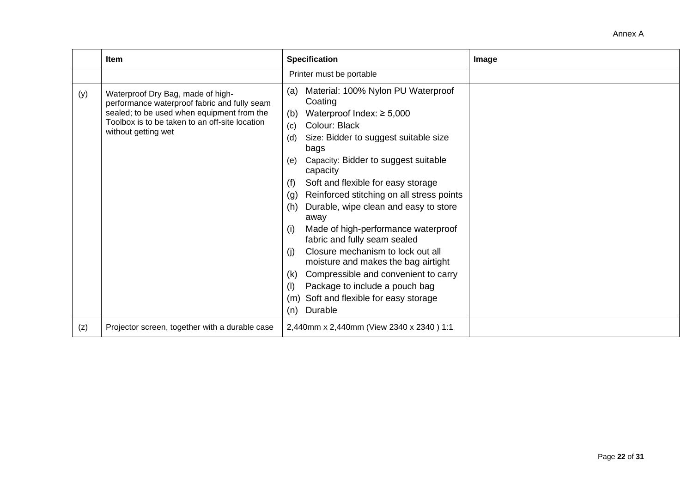|     | Item                                                                                                                                                                                                     | <b>Specification</b>                                                                                                                                                                                                                                                                                                                                                                                                                                                                                                                                                                                                                                                                                                      | Image |
|-----|----------------------------------------------------------------------------------------------------------------------------------------------------------------------------------------------------------|---------------------------------------------------------------------------------------------------------------------------------------------------------------------------------------------------------------------------------------------------------------------------------------------------------------------------------------------------------------------------------------------------------------------------------------------------------------------------------------------------------------------------------------------------------------------------------------------------------------------------------------------------------------------------------------------------------------------------|-------|
|     |                                                                                                                                                                                                          | Printer must be portable                                                                                                                                                                                                                                                                                                                                                                                                                                                                                                                                                                                                                                                                                                  |       |
| (y) | Waterproof Dry Bag, made of high-<br>performance waterproof fabric and fully seam<br>sealed; to be used when equipment from the<br>Toolbox is to be taken to an off-site location<br>without getting wet | Material: 100% Nylon PU Waterproof<br>(a)<br>Coating<br>Waterproof Index: $\geq 5,000$<br>(b)<br>Colour: Black<br>(c)<br>Size: Bidder to suggest suitable size<br>(d)<br>bags<br>Capacity: Bidder to suggest suitable<br>(e)<br>capacity<br>Soft and flexible for easy storage<br>(f)<br>Reinforced stitching on all stress points<br>(g)<br>Durable, wipe clean and easy to store<br>(h)<br>away<br>Made of high-performance waterproof<br>(i)<br>fabric and fully seam sealed<br>Closure mechanism to lock out all<br>(i)<br>moisture and makes the bag airtight<br>Compressible and convenient to carry<br>(k)<br>Package to include a pouch bag<br>(I)<br>Soft and flexible for easy storage<br>(m)<br>Durable<br>(n) |       |
| (z) | Projector screen, together with a durable case                                                                                                                                                           | 2,440mm x 2,440mm (View 2340 x 2340) 1:1                                                                                                                                                                                                                                                                                                                                                                                                                                                                                                                                                                                                                                                                                  |       |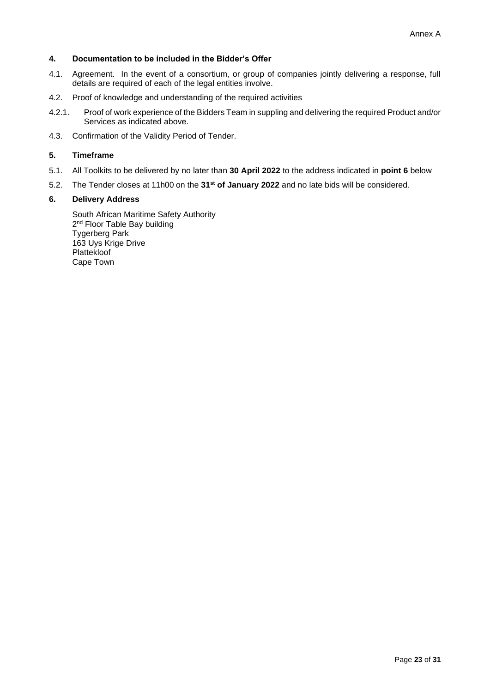# **4. Documentation to be included in the Bidder's Offer**

- 4.1. Agreement. In the event of a consortium, or group of companies jointly delivering a response, full details are required of each of the legal entities involve.
- 4.2. Proof of knowledge and understanding of the required activities
- 4.2.1. Proof of work experience of the Bidders Team in suppling and delivering the required Product and/or Services as indicated above.
- 4.3. Confirmation of the Validity Period of Tender.

# **5. Timeframe**

- 5.1. All Toolkits to be delivered by no later than **30 April 2022** to the address indicated in **point 6** below
- 5.2. The Tender closes at 11h00 on the **31st of January 2022** and no late bids will be considered.

## **6. Delivery Address**

South African Maritime Safety Authority 2<sup>nd</sup> Floor Table Bay building Tygerberg Park 163 Uys Krige Drive Plattekloof Cape Town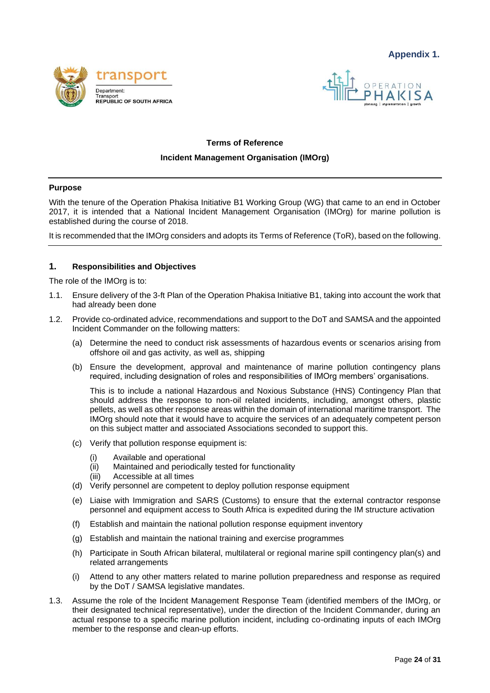



# **Terms of Reference**

#### **Incident Management Organisation (IMOrg)**

#### **Purpose**

With the tenure of the Operation Phakisa Initiative B1 Working Group (WG) that came to an end in October 2017, it is intended that a National Incident Management Organisation (IMOrg) for marine pollution is established during the course of 2018.

It is recommended that the IMOrg considers and adopts its Terms of Reference (ToR), based on the following.

## **1. Responsibilities and Objectives**

The role of the IMOrg is to:

- 1.1. Ensure delivery of the 3-ft Plan of the Operation Phakisa Initiative B1, taking into account the work that had already been done
- 1.2. Provide co-ordinated advice, recommendations and support to the DoT and SAMSA and the appointed Incident Commander on the following matters:
	- (a) Determine the need to conduct risk assessments of hazardous events or scenarios arising from offshore oil and gas activity, as well as, shipping
	- (b) Ensure the development, approval and maintenance of marine pollution contingency plans required, including designation of roles and responsibilities of IMOrg members' organisations.

This is to include a national Hazardous and Noxious Substance (HNS) Contingency Plan that should address the response to non-oil related incidents, including, amongst others, plastic pellets, as well as other response areas within the domain of international maritime transport. The IMOrg should note that it would have to acquire the services of an adequately competent person on this subject matter and associated Associations seconded to support this.

- (c) Verify that pollution response equipment is:
	- (i) Available and operational
	- (ii) Maintained and periodically tested for functionality
	- (iii) Accessible at all times
- (d) Verify personnel are competent to deploy pollution response equipment
- (e) Liaise with Immigration and SARS (Customs) to ensure that the external contractor response personnel and equipment access to South Africa is expedited during the IM structure activation
- (f) Establish and maintain the national pollution response equipment inventory
- (g) Establish and maintain the national training and exercise programmes
- (h) Participate in South African bilateral, multilateral or regional marine spill contingency plan(s) and related arrangements
- (i) Attend to any other matters related to marine pollution preparedness and response as required by the DoT / SAMSA legislative mandates.
- 1.3. Assume the role of the Incident Management Response Team (identified members of the IMOrg, or their designated technical representative), under the direction of the Incident Commander, during an actual response to a specific marine pollution incident, including co-ordinating inputs of each IMOrg member to the response and clean-up efforts.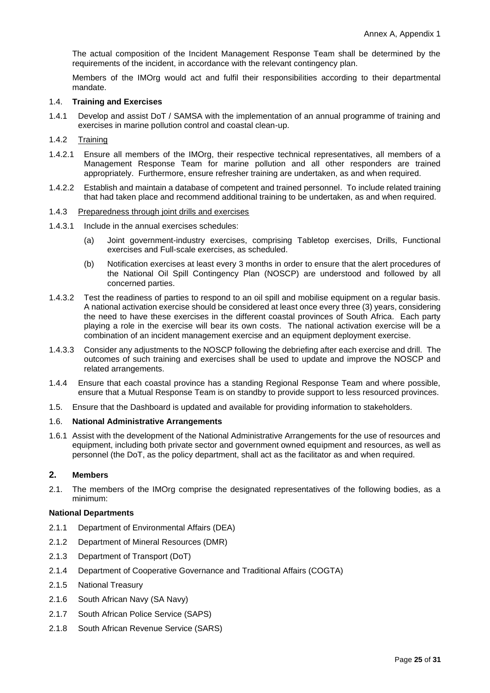The actual composition of the Incident Management Response Team shall be determined by the requirements of the incident, in accordance with the relevant contingency plan.

Members of the IMOrg would act and fulfil their responsibilities according to their departmental mandate.

#### 1.4. **Training and Exercises**

1.4.1 Develop and assist DoT / SAMSA with the implementation of an annual programme of training and exercises in marine pollution control and coastal clean-up.

#### 1.4.2 Training

- 1.4.2.1 Ensure all members of the IMOrg, their respective technical representatives, all members of a Management Response Team for marine pollution and all other responders are trained appropriately. Furthermore, ensure refresher training are undertaken, as and when required.
- 1.4.2.2 Establish and maintain a database of competent and trained personnel. To include related training that had taken place and recommend additional training to be undertaken, as and when required.

#### 1.4.3 Preparedness through joint drills and exercises

- 1.4.3.1 Include in the annual exercises schedules:
	- (a) Joint government-industry exercises, comprising Tabletop exercises, Drills, Functional exercises and Full-scale exercises, as scheduled.
	- (b) Notification exercises at least every 3 months in order to ensure that the alert procedures of the National Oil Spill Contingency Plan (NOSCP) are understood and followed by all concerned parties.
- 1.4.3.2 Test the readiness of parties to respond to an oil spill and mobilise equipment on a regular basis. A national activation exercise should be considered at least once every three (3) years, considering the need to have these exercises in the different coastal provinces of South Africa. Each party playing a role in the exercise will bear its own costs. The national activation exercise will be a combination of an incident management exercise and an equipment deployment exercise.
- 1.4.3.3 Consider any adjustments to the NOSCP following the debriefing after each exercise and drill. The outcomes of such training and exercises shall be used to update and improve the NOSCP and related arrangements.
- 1.4.4 Ensure that each coastal province has a standing Regional Response Team and where possible, ensure that a Mutual Response Team is on standby to provide support to less resourced provinces.
- 1.5. Ensure that the Dashboard is updated and available for providing information to stakeholders.

#### 1.6. **National Administrative Arrangements**

1.6.1 Assist with the development of the National Administrative Arrangements for the use of resources and equipment, including both private sector and government owned equipment and resources, as well as personnel (the DoT, as the policy department, shall act as the facilitator as and when required.

## **2. Members**

2.1. The members of the IMOrg comprise the designated representatives of the following bodies, as a minimum:

## **National Departments**

- 2.1.1 Department of Environmental Affairs (DEA)
- 2.1.2 Department of Mineral Resources (DMR)
- 2.1.3 Department of Transport (DoT)
- 2.1.4 Department of Cooperative Governance and Traditional Affairs (COGTA)
- 2.1.5 National Treasury
- 2.1.6 South African Navy (SA Navy)
- 2.1.7 South African Police Service (SAPS)
- 2.1.8 South African Revenue Service (SARS)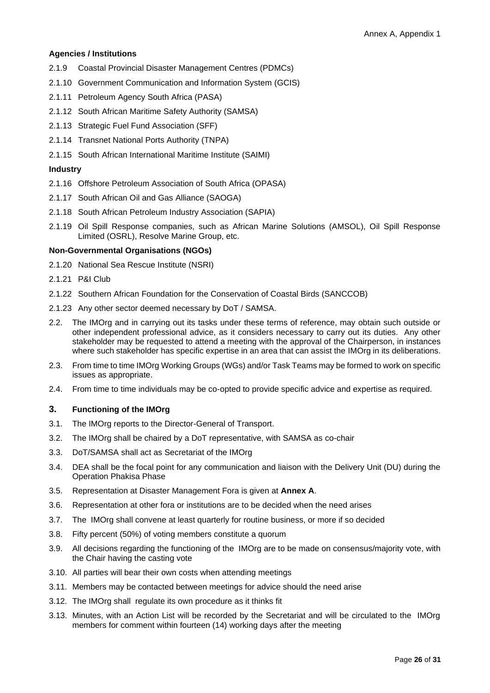#### **Agencies / Institutions**

- 2.1.9 Coastal Provincial Disaster Management Centres (PDMCs)
- 2.1.10 [Government Communication and Information System](file:///C:/Users/jcollocott/AppData/Local/Microsoft/Windows/Temporary%20Internet%20Files/Content.MSO/74E75F67.xlsx%23RANGE!_Toc423163316) (GCIS)
- 2.1.11 Petroleum Agency South Africa (PASA)
- 2.1.12 South African Maritime Safety Authority (SAMSA)
- 2.1.13 Strategic Fuel Fund Association (SFF)
- 2.1.14 Transnet National Ports Authority (TNPA)
- 2.1.15 South African International Maritime Institute (SAIMI)

# **Industry**

- 2.1.16 Offshore Petroleum Association of South Africa (OPASA)
- 2.1.17 South African Oil and Gas Alliance (SAOGA)
- 2.1.18 South African Petroleum Industry Association (SAPIA)
- 2.1.19 Oil Spill Response companies, such as African Marine Solutions (AMSOL), Oil Spill Response Limited (OSRL), Resolve Marine Group, etc.

# **Non-Governmental Organisations (NGOs)**

- 2.1.20 National Sea Rescue Institute (NSRI)
- 2.1.21 P&I Club
- 2.1.22 Southern African Foundation for the Conservation of Coastal Birds (SANCCOB)
- 2.1.23 Any other sector deemed necessary by DoT / SAMSA.
- 2.2. The IMOrg and in carrying out its tasks under these terms of reference, may obtain such outside or other independent professional advice, as it considers necessary to carry out its duties. Any other stakeholder may be requested to attend a meeting with the approval of the Chairperson, in instances where such stakeholder has specific expertise in an area that can assist the IMOrg in its deliberations.
- 2.3. From time to time IMOrg Working Groups (WGs) and/or Task Teams may be formed to work on specific issues as appropriate.
- 2.4. From time to time individuals may be co-opted to provide specific advice and expertise as required.

# **3. Functioning of the IMOrg**

- 3.1. The IMOrg reports to the Director-General of Transport.
- 3.2. The IMOrg shall be chaired by a DoT representative, with SAMSA as co-chair
- 3.3. DoT/SAMSA shall act as Secretariat of the IMOrg
- 3.4. DEA shall be the focal point for any communication and liaison with the Delivery Unit (DU) during the Operation Phakisa Phase
- 3.5. Representation at Disaster Management Fora is given at **Annex A**.
- 3.6. Representation at other fora or institutions are to be decided when the need arises
- 3.7. The IMOrg shall convene at least quarterly for routine business, or more if so decided
- 3.8. Fifty percent (50%) of voting members constitute a quorum
- 3.9. All decisions regarding the functioning of the IMOrg are to be made on consensus/majority vote, with the Chair having the casting vote
- 3.10. All parties will bear their own costs when attending meetings
- 3.11. Members may be contacted between meetings for advice should the need arise
- 3.12. The IMOrg shall regulate its own procedure as it thinks fit
- 3.13. Minutes, with an Action List will be recorded by the Secretariat and will be circulated to the IMOrg members for comment within fourteen (14) working days after the meeting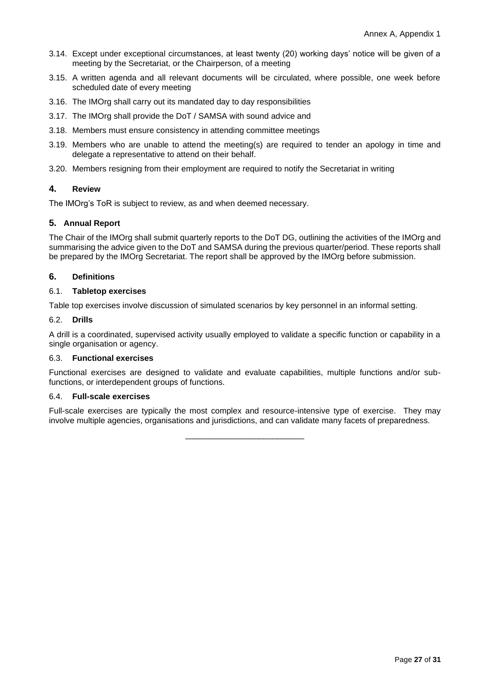- 3.14. Except under exceptional circumstances, at least twenty (20) working days' notice will be given of a meeting by the Secretariat, or the Chairperson, of a meeting
- 3.15. A written agenda and all relevant documents will be circulated, where possible, one week before scheduled date of every meeting
- 3.16. The IMOrg shall carry out its mandated day to day responsibilities
- 3.17. The IMOrg shall provide the DoT / SAMSA with sound advice and
- 3.18. Members must ensure consistency in attending committee meetings
- 3.19. Members who are unable to attend the meeting(s) are required to tender an apology in time and delegate a representative to attend on their behalf.
- 3.20. Members resigning from their employment are required to notify the Secretariat in writing

# **4. Review**

The IMOrg's ToR is subject to review, as and when deemed necessary.

## **5. Annual Report**

The Chair of the IMOrg shall submit quarterly reports to the DoT DG, outlining the activities of the IMOrg and summarising the advice given to the DoT and SAMSA during the previous quarter/period. These reports shall be prepared by the IMOrg Secretariat. The report shall be approved by the IMOrg before submission.

## **6. Definitions**

#### 6.1. **Tabletop exercises**

Table top exercises involve discussion of simulated scenarios by key personnel in an informal setting.

#### 6.2. **Drills**

A drill is a coordinated, supervised activity usually employed to validate a specific function or capability in a single organisation or agency.

#### 6.3. **Functional exercises**

Functional exercises are designed to validate and evaluate capabilities, multiple functions and/or subfunctions, or interdependent groups of functions.

#### 6.4. **Full-scale exercises**

Full-scale exercises are typically the most complex and resource-intensive type of exercise. They may involve multiple agencies, organisations and jurisdictions, and can validate many facets of preparedness.

\_\_\_\_\_\_\_\_\_\_\_\_\_\_\_\_\_\_\_\_\_\_\_\_\_\_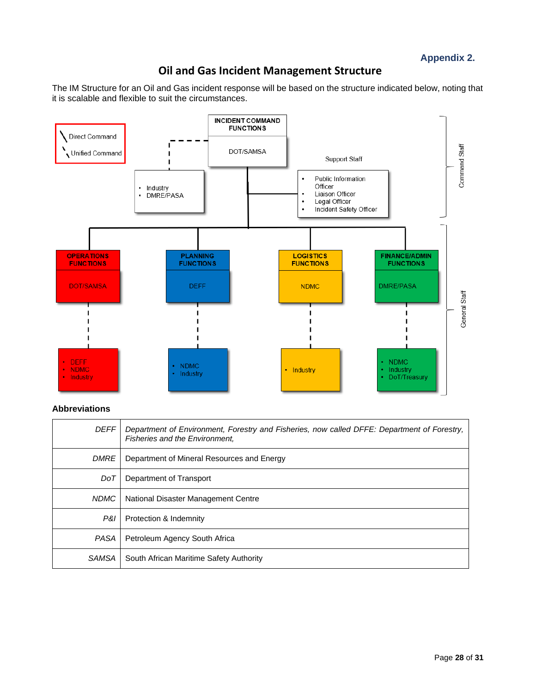**Appendix 2.**

# **Oil and Gas Incident Management Structure**

The IM Structure for an Oil and Gas incident response will be based on the structure indicated below, noting that it is scalable and flexible to suit the circumstances.



# **Abbreviations**

| <b>DEFF</b>  | Department of Environment, Forestry and Fisheries, now called DFFE: Department of Forestry,<br><b>Fisheries and the Environment.</b> |
|--------------|--------------------------------------------------------------------------------------------------------------------------------------|
| <b>DMRE</b>  | Department of Mineral Resources and Energy                                                                                           |
| DoT          | Department of Transport                                                                                                              |
| <b>NDMC</b>  | National Disaster Management Centre                                                                                                  |
| P&I          | Protection & Indemnity                                                                                                               |
| <b>PASA</b>  | Petroleum Agency South Africa                                                                                                        |
| <b>SAMSA</b> | South African Maritime Safety Authority                                                                                              |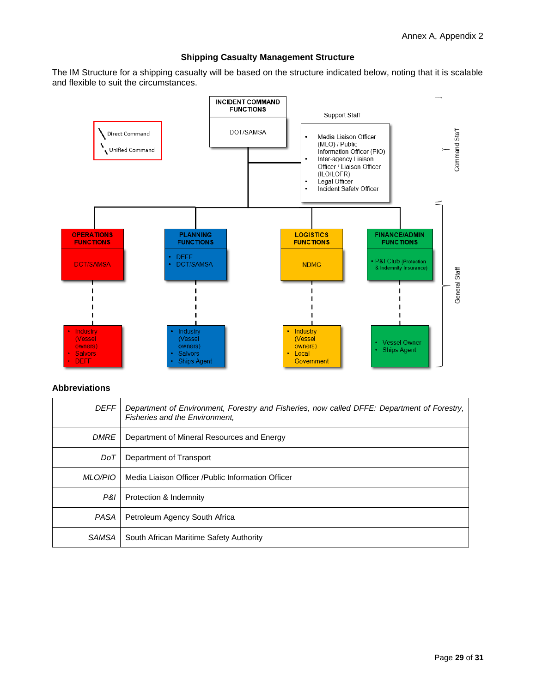## **Shipping Casualty Management Structure**

The IM Structure for a shipping casualty will be based on the structure indicated below, noting that it is scalable and flexible to suit the circumstances.



#### **Abbreviations**

| <b>DEFF</b> | Department of Environment, Forestry and Fisheries, now called DFFE: Department of Forestry,<br><b>Fisheries and the Environment.</b> |
|-------------|--------------------------------------------------------------------------------------------------------------------------------------|
| <b>DMRE</b> | Department of Mineral Resources and Energy                                                                                           |
| DoT         | Department of Transport                                                                                                              |
| MLO/PIO     | Media Liaison Officer /Public Information Officer                                                                                    |
| P&I         | Protection & Indemnity                                                                                                               |
| PASA        | Petroleum Agency South Africa                                                                                                        |
| SAMSA       | South African Maritime Safety Authority                                                                                              |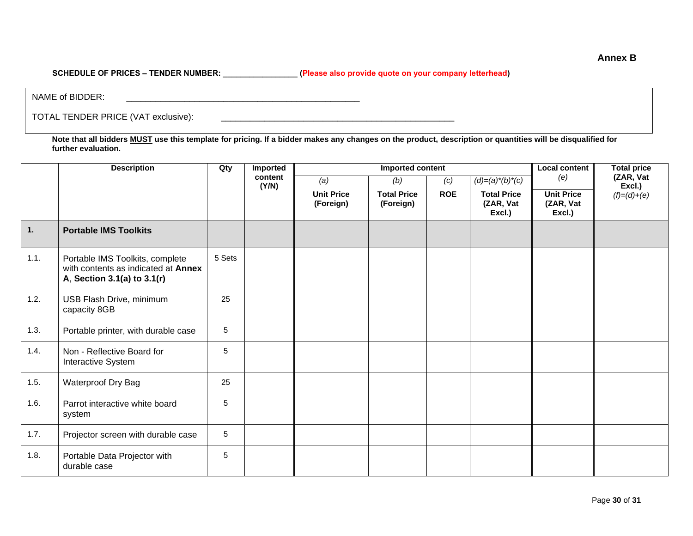SCHEDULE OF PRICES - TENDER NUMBER: \_\_\_\_\_\_\_\_\_\_\_\_\_\_\_\_\_\_\_(Please also provide quote on your company letterhead)

NAME of BIDDER:

TOTAL TENDER PRICE (VAT exclusive): \_\_\_\_\_\_\_\_\_\_\_\_\_\_\_\_\_\_\_\_\_\_\_\_\_\_\_\_\_\_\_\_\_\_\_\_\_\_\_\_\_\_\_\_\_\_\_\_

**Note that all bidders MUST use this template for pricing. If a bidder makes any changes on the product, description or quantities will be disqualified for further evaluation.**

|                  | <b>Description</b>                                                                                    | Qty    | Imported         | Imported content               |                                 |            | <b>Local content</b><br><b>Total price</b> |                                          |                     |
|------------------|-------------------------------------------------------------------------------------------------------|--------|------------------|--------------------------------|---------------------------------|------------|--------------------------------------------|------------------------------------------|---------------------|
|                  |                                                                                                       |        | content<br>(Y/N) | (a)                            | (b)                             | (c)        | $(d)=(a)*(b)*(c)$                          | (e)                                      | (ZAR, Vat<br>Excl.) |
|                  |                                                                                                       |        |                  | <b>Unit Price</b><br>(Foreign) | <b>Total Price</b><br>(Foreign) | <b>ROE</b> | <b>Total Price</b><br>(ZAR, Vat<br>Excl.)  | <b>Unit Price</b><br>(ZAR, Vat<br>Excl.) | $(f)=(d)+(e)$       |
| $\overline{1}$ . | <b>Portable IMS Toolkits</b>                                                                          |        |                  |                                |                                 |            |                                            |                                          |                     |
| 1.1.             | Portable IMS Toolkits, complete<br>with contents as indicated at Annex<br>A, Section 3.1(a) to 3.1(r) | 5 Sets |                  |                                |                                 |            |                                            |                                          |                     |
| 1.2.             | USB Flash Drive, minimum<br>capacity 8GB                                                              | 25     |                  |                                |                                 |            |                                            |                                          |                     |
| 1.3.             | Portable printer, with durable case                                                                   | 5      |                  |                                |                                 |            |                                            |                                          |                     |
| 1.4.             | Non - Reflective Board for<br>Interactive System                                                      | 5      |                  |                                |                                 |            |                                            |                                          |                     |
| 1.5.             | Waterproof Dry Bag                                                                                    | 25     |                  |                                |                                 |            |                                            |                                          |                     |
| 1.6.             | Parrot interactive white board<br>system                                                              | 5      |                  |                                |                                 |            |                                            |                                          |                     |
| 1.7.             | Projector screen with durable case                                                                    | 5      |                  |                                |                                 |            |                                            |                                          |                     |
| 1.8.             | Portable Data Projector with<br>durable case                                                          | 5      |                  |                                |                                 |            |                                            |                                          |                     |